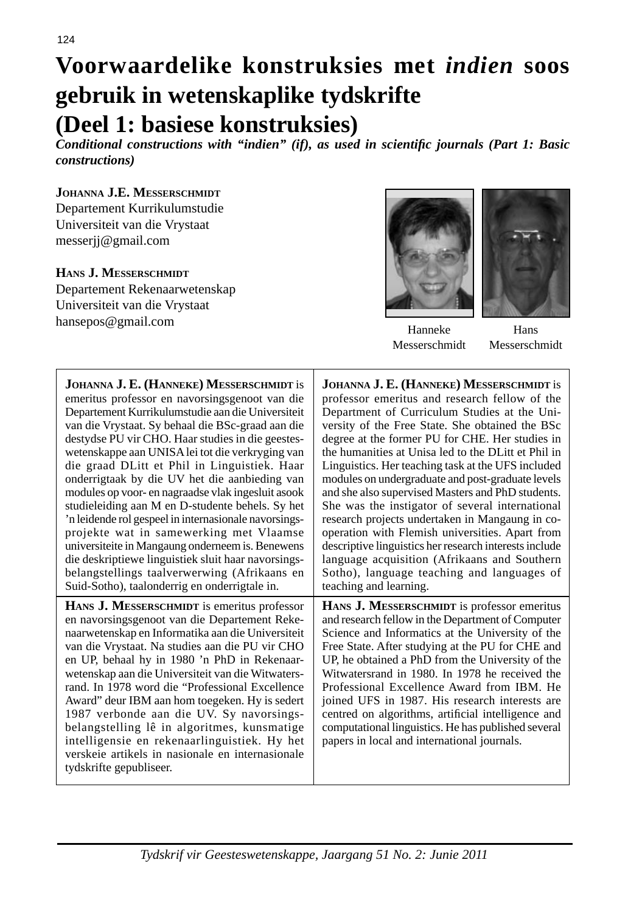# **Voorwaardelike konstruksies met** *indien* **soos gebruik in wetenskaplike tydskrifte (Deel 1: basiese konstruksies)**

*Conditional constructions with "indien" (if), as used in scientifi c journals (Part 1: Basic constructions)*

#### **JOHANNA J.E. MESSERSCHMIDT**

Departement Kurrikulumstudie Universiteit van die Vrystaat messerjj@gmail.com

## **HANS J. MESSERSCHMIDT**

Departement Rekenaarwetenskap Universiteit van die Vrystaat hansepos@gmail.com



Hanneke Messerschmidt

Hans Messerschmidt

| JOHANNA J. E. (HANNEKE) MESSERSCHMIDT is                                                                                                                                                                                                                                                                                                                                                                                                                                                                                                                                                                                                        | JOHANNA J. E. (HANNEKE) MESSERSCHMIDT is                                                                                                                                                                                                                                                                                                                                                                                                                                                                                                                                   |
|-------------------------------------------------------------------------------------------------------------------------------------------------------------------------------------------------------------------------------------------------------------------------------------------------------------------------------------------------------------------------------------------------------------------------------------------------------------------------------------------------------------------------------------------------------------------------------------------------------------------------------------------------|----------------------------------------------------------------------------------------------------------------------------------------------------------------------------------------------------------------------------------------------------------------------------------------------------------------------------------------------------------------------------------------------------------------------------------------------------------------------------------------------------------------------------------------------------------------------------|
| emeritus professor en navorsingsgenoot van die                                                                                                                                                                                                                                                                                                                                                                                                                                                                                                                                                                                                  | professor emeritus and research fellow of the                                                                                                                                                                                                                                                                                                                                                                                                                                                                                                                              |
| Departement Kurrikulumstudie aan die Universiteit                                                                                                                                                                                                                                                                                                                                                                                                                                                                                                                                                                                               | Department of Curriculum Studies at the Uni-                                                                                                                                                                                                                                                                                                                                                                                                                                                                                                                               |
| van die Vrystaat. Sy behaal die BSc-graad aan die                                                                                                                                                                                                                                                                                                                                                                                                                                                                                                                                                                                               | versity of the Free State. She obtained the BSc                                                                                                                                                                                                                                                                                                                                                                                                                                                                                                                            |
| destydse PU vir CHO. Haar studies in die geestes-                                                                                                                                                                                                                                                                                                                                                                                                                                                                                                                                                                                               | degree at the former PU for CHE. Her studies in                                                                                                                                                                                                                                                                                                                                                                                                                                                                                                                            |
| wetenskappe aan UNISA lei tot die verkryging van                                                                                                                                                                                                                                                                                                                                                                                                                                                                                                                                                                                                | the humanities at Unisa led to the DLitt et Phil in                                                                                                                                                                                                                                                                                                                                                                                                                                                                                                                        |
| die graad DLitt et Phil in Linguistiek. Haar                                                                                                                                                                                                                                                                                                                                                                                                                                                                                                                                                                                                    | Linguistics. Her teaching task at the UFS included                                                                                                                                                                                                                                                                                                                                                                                                                                                                                                                         |
| onderrigtaak by die UV het die aanbieding van                                                                                                                                                                                                                                                                                                                                                                                                                                                                                                                                                                                                   | modules on undergraduate and post-graduate levels                                                                                                                                                                                                                                                                                                                                                                                                                                                                                                                          |
| modules op voor- en nagraadse vlak ingesluit asook                                                                                                                                                                                                                                                                                                                                                                                                                                                                                                                                                                                              | and she also supervised Masters and PhD students.                                                                                                                                                                                                                                                                                                                                                                                                                                                                                                                          |
| studieleiding aan M en D-studente behels. Sy het                                                                                                                                                                                                                                                                                                                                                                                                                                                                                                                                                                                                | She was the instigator of several international                                                                                                                                                                                                                                                                                                                                                                                                                                                                                                                            |
| 'n leidende rol gespeel in internasionale navorsings-                                                                                                                                                                                                                                                                                                                                                                                                                                                                                                                                                                                           | research projects undertaken in Mangaung in co-                                                                                                                                                                                                                                                                                                                                                                                                                                                                                                                            |
| projekte wat in samewerking met Vlaamse                                                                                                                                                                                                                                                                                                                                                                                                                                                                                                                                                                                                         | operation with Flemish universities. Apart from                                                                                                                                                                                                                                                                                                                                                                                                                                                                                                                            |
| universiteite in Mangaung onderneem is. Benewens                                                                                                                                                                                                                                                                                                                                                                                                                                                                                                                                                                                                | descriptive linguistics her research interests include                                                                                                                                                                                                                                                                                                                                                                                                                                                                                                                     |
| die deskriptiewe linguistiek sluit haar navorsings-                                                                                                                                                                                                                                                                                                                                                                                                                                                                                                                                                                                             | language acquisition (Afrikaans and Southern                                                                                                                                                                                                                                                                                                                                                                                                                                                                                                                               |
| belangstellings taalverwerwing (Afrikaans en                                                                                                                                                                                                                                                                                                                                                                                                                                                                                                                                                                                                    | Sotho), language teaching and languages of                                                                                                                                                                                                                                                                                                                                                                                                                                                                                                                                 |
| Suid-Sotho), taalonderrig en onderrigtale in.                                                                                                                                                                                                                                                                                                                                                                                                                                                                                                                                                                                                   | teaching and learning.                                                                                                                                                                                                                                                                                                                                                                                                                                                                                                                                                     |
| <b>HANS J. MESSERSCHMIDT</b> is emeritus professor<br>en navorsingsgenoot van die Departement Reke-<br>naarwetenskap en Informatika aan die Universiteit<br>van die Vrystaat. Na studies aan die PU vir CHO<br>en UP, behaal hy in 1980 'n PhD in Rekenaar-<br>wetenskap aan die Universiteit van die Witwaters-<br>rand. In 1978 word die "Professional Excellence<br>Award" deur IBM aan hom toegeken. Hy is sedert<br>1987 verbonde aan die UV. Sy navorsings-<br>belangstelling lê in algoritmes, kunsmatige<br>intelligensie en rekenaarlinguistiek. Hy het<br>verskeie artikels in nasionale en internasionale<br>tydskrifte gepubliseer. | HANS J. MESSERSCHMIDT is professor emeritus<br>and research fellow in the Department of Computer<br>Science and Informatics at the University of the<br>Free State. After studying at the PU for CHE and<br>UP, he obtained a PhD from the University of the<br>Witwatersrand in 1980. In 1978 he received the<br>Professional Excellence Award from IBM. He<br>joined UFS in 1987. His research interests are<br>centred on algorithms, artificial intelligence and<br>computational linguistics. He has published several<br>papers in local and international journals. |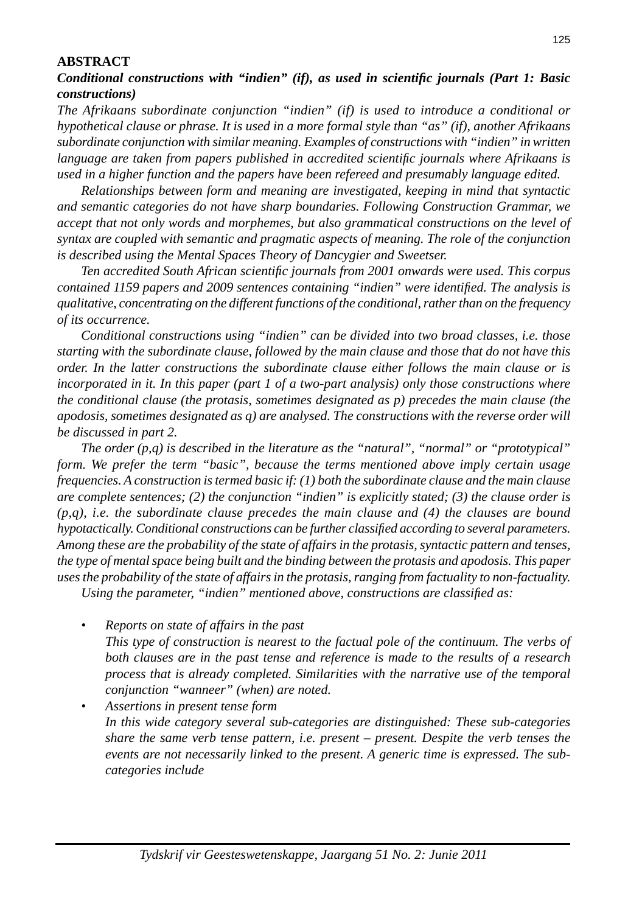#### **ABSTRACT**

## *Conditional constructions with "indien" (if), as used in scientifi c journals (Part 1: Basic constructions)*

*The Afrikaans subordinate conjunction "indien" (if) is used to introduce a conditional or hypothetical clause or phrase. It is used in a more formal style than "as" (if), another Afrikaans subordinate conjunction with similar meaning. Examples of constructions with "indien" in written language are taken from papers published in accredited scientifi c journals where Afrikaans is used in a higher function and the papers have been refereed and presumably language edited.*

 *Relationships between form and meaning are investigated, keeping in mind that syntactic and semantic categories do not have sharp boundaries. Following Construction Grammar, we accept that not only words and morphemes, but also grammatical constructions on the level of syntax are coupled with semantic and pragmatic aspects of meaning. The role of the conjunction is described using the Mental Spaces Theory of Dancygier and Sweetser.*

 *Ten accredited South African scientifi c journals from 2001 onwards were used. This corpus contained 1159 papers and 2009 sentences containing "indien" were identifi ed. The analysis is qualitative, concentrating on the different functions of the conditional, rather than on the frequency of its occurrence.*

 *Conditional constructions using "indien" can be divided into two broad classes, i.e. those starting with the subordinate clause, followed by the main clause and those that do not have this order. In the latter constructions the subordinate clause either follows the main clause or is incorporated in it. In this paper (part 1 of a two-part analysis) only those constructions where the conditional clause (the protasis, sometimes designated as p) precedes the main clause (the apodosis, sometimes designated as q) are analysed. The constructions with the reverse order will be discussed in part 2.*

 *The order (p,q) is described in the literature as the "natural", "normal" or "prototypical" form. We prefer the term "basic", because the terms mentioned above imply certain usage frequencies. A construction is termed basic if: (1) both the subordinate clause and the main clause are complete sentences; (2) the conjunction "indien" is explicitly stated; (3) the clause order is (p,q), i.e. the subordinate clause precedes the main clause and (4) the clauses are bound hypotactically. Conditional constructions can be further classifi ed according to several parameters. Among these are the probability of the state of affairs in the protasis, syntactic pattern and tenses, the type of mental space being built and the binding between the protasis and apodosis. This paper uses the probability of the state of affairs in the protasis, ranging from factuality to non-factuality.* 

*Using the parameter, "indien" mentioned above, constructions are classified as:* 

- *Reports on state of affairs in the past This type of construction is nearest to the factual pole of the continuum. The verbs of both clauses are in the past tense and reference is made to the results of a research process that is already completed. Similarities with the narrative use of the temporal conjunction "wanneer" (when) are noted.*
- *Assertions in present tense form In this wide category several sub-categories are distinguished: These sub-categories share the same verb tense pattern, i.e. present – present. Despite the verb tenses the events are not necessarily linked to the present. A generic time is expressed. The subcategories include*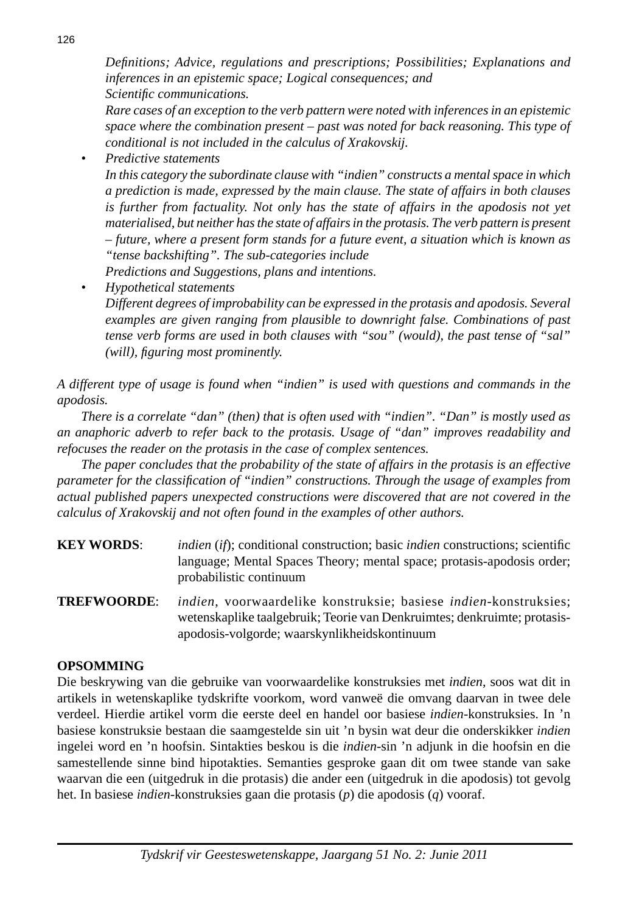*Defi nitions; Advice, regulations and prescriptions; Possibilities; Explanations and inferences in an epistemic space; Logical consequences; and Scientifi c communications.*

 *Rare cases of an exception to the verb pattern were noted with inferences in an epistemic space where the combination present – past was noted for back reasoning. This type of conditional is not included in the calculus of Xrakovskij.*

 *• Predictive statements*

 *In this category the subordinate clause with "indien" constructs a mental space in which a prediction is made, expressed by the main clause. The state of affairs in both clauses*  is further from factuality. Not only has the state of affairs in the apodosis not yet *materialised, but neither has the state of affairs in the protasis. The verb pattern is present – future, where a present form stands for a future event, a situation which is known as "tense backshifting". The sub-categories include*

 *Predictions and Suggestions, plans and intentions.*

 *• Hypothetical statements Different degrees of improbability can be expressed in the protasis and apodosis. Several examples are given ranging from plausible to downright false. Combinations of past tense verb forms are used in both clauses with "sou" (would), the past tense of "sal" (will), figuring most prominently.* 

*A different type of usage is found when "indien" is used with questions and commands in the apodosis.*

 *There is a correlate "dan" (then) that is often used with "indien". "Dan" is mostly used as an anaphoric adverb to refer back to the protasis. Usage of "dan" improves readability and refocuses the reader on the protasis in the case of complex sentences.*

 *The paper concludes that the probability of the state of affairs in the protasis is an effective parameter for the classifi cation of "indien" constructions. Through the usage of examples from actual published papers unexpected constructions were discovered that are not covered in the calculus of Xrakovskij and not often found in the examples of other authors.*

- **KEY WORDS:** *indien* (*if*); conditional construction; basic *indien* constructions; scientific language; Mental Spaces Theory; mental space; protasis-apodosis order; probabilistic continuum
- **TREFWOORDE**: *indien*, voorwaardelike konstruksie; basiese *indien*-konstruksies; wetenskaplike taalgebruik; Teorie van Denkruimtes; denkruimte; protasisapodosis-volgorde; waarskynlikheidskontinuum

## **OPSOMMING**

Die beskrywing van die gebruike van voorwaardelike konstruksies met *indien*, soos wat dit in artikels in wetenskaplike tydskrifte voorkom, word vanweë die omvang daarvan in twee dele verdeel. Hierdie artikel vorm die eerste deel en handel oor basiese *indien*-konstruksies. In 'n basiese konstruksie bestaan die saamgestelde sin uit 'n bysin wat deur die onderskikker *indien* ingelei word en 'n hoofsin. Sintakties beskou is die *indien*-sin 'n adjunk in die hoofsin en die samestellende sinne bind hipotakties. Semanties gesproke gaan dit om twee stande van sake waarvan die een (uitgedruk in die protasis) die ander een (uitgedruk in die apodosis) tot gevolg het. In basiese *indien*-konstruksies gaan die protasis (*p*) die apodosis (*q*) vooraf.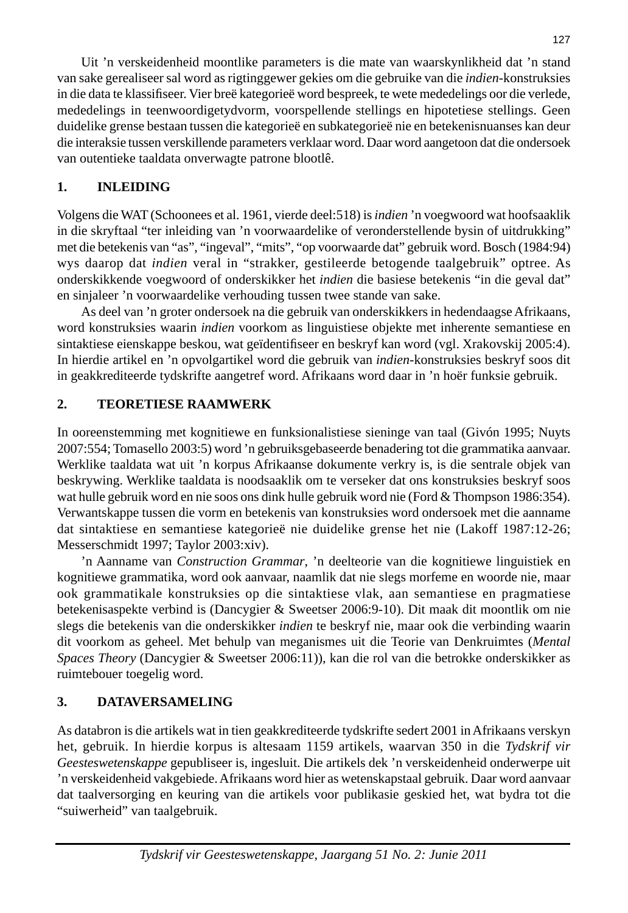Uit 'n verskeidenheid moontlike parameters is die mate van waarskynlikheid dat 'n stand van sake gerealiseer sal word as rigtinggewer gekies om die gebruike van die *indien*-konstruksies in die data te klassifi seer. Vier breë kategorieë word bespreek, te wete mededelings oor die verlede, mededelings in teenwoordigetydvorm, voorspellende stellings en hipotetiese stellings. Geen duidelike grense bestaan tussen die kategorieë en subkategorieë nie en betekenisnuanses kan deur die interaksie tussen verskillende parameters verklaar word. Daar word aangetoon dat die ondersoek van outentieke taaldata onverwagte patrone blootlê.

## **1. INLEIDING**

Volgens die WAT (Schoonees et al. 1961, vierde deel:518) is *indien* 'n voegwoord wat hoofsaaklik in die skryftaal "ter inleiding van 'n voorwaardelike of veronderstellende bysin of uitdrukking" met die betekenis van "as", "ingeval", "mits", "op voorwaarde dat" gebruik word. Bosch (1984:94) wys daarop dat *indien* veral in "strakker, gestileerde betogende taalgebruik" optree. As onderskikkende voegwoord of onderskikker het *indien* die basiese betekenis "in die geval dat" en sinjaleer 'n voorwaardelike verhouding tussen twee stande van sake.

 As deel van 'n groter ondersoek na die gebruik van onderskikkers in hedendaagse Afrikaans, word konstruksies waarin *indien* voorkom as linguistiese objekte met inherente semantiese en sintaktiese eienskappe beskou, wat geïdentifiseer en beskryf kan word (vgl. Xrakovskij 2005:4). In hierdie artikel en 'n opvolgartikel word die gebruik van *indien*-konstruksies beskryf soos dit in geakkrediteerde tydskrifte aangetref word. Afrikaans word daar in 'n hoër funksie gebruik.

## **2. TEORETIESE RAAMWERK**

In ooreenstemming met kognitiewe en funksionalistiese sieninge van taal (Givón 1995; Nuyts 2007:554; Tomasello 2003:5) word 'n gebruiksgebaseerde benadering tot die grammatika aanvaar. Werklike taaldata wat uit 'n korpus Afrikaanse dokumente verkry is, is die sentrale objek van beskrywing. Werklike taaldata is noodsaaklik om te verseker dat ons konstruksies beskryf soos wat hulle gebruik word en nie soos ons dink hulle gebruik word nie (Ford & Thompson 1986:354). Verwantskappe tussen die vorm en betekenis van konstruksies word ondersoek met die aanname dat sintaktiese en semantiese kategorieë nie duidelike grense het nie (Lakoff 1987:12-26; Messerschmidt 1997; Taylor 2003:xiv).

 'n Aanname van *Construction Grammar*, 'n deelteorie van die kognitiewe linguistiek en kognitiewe grammatika, word ook aanvaar, naamlik dat nie slegs morfeme en woorde nie, maar ook grammatikale konstruksies op die sintaktiese vlak, aan semantiese en pragmatiese betekenisaspekte verbind is (Dancygier & Sweetser 2006:9-10). Dit maak dit moontlik om nie slegs die betekenis van die onderskikker *indien* te beskryf nie, maar ook die verbinding waarin dit voorkom as geheel. Met behulp van meganismes uit die Teorie van Denkruimtes (*Mental Spaces Theory* (Dancygier & Sweetser 2006:11))*,* kan die rol van die betrokke onderskikker as ruimtebouer toegelig word.

## **3. DATAVERSAMELING**

As databron is die artikels wat in tien geakkrediteerde tydskrifte sedert 2001 in Afrikaans verskyn het, gebruik. In hierdie korpus is altesaam 1159 artikels, waarvan 350 in die *Tydskrif vir Geesteswetenskappe* gepubliseer is, ingesluit. Die artikels dek 'n verskeidenheid onderwerpe uit 'n verskeidenheid vakgebiede. Afrikaans word hier as wetenskapstaal gebruik. Daar word aanvaar dat taalversorging en keuring van die artikels voor publikasie geskied het, wat bydra tot die "suiwerheid" van taalgebruik.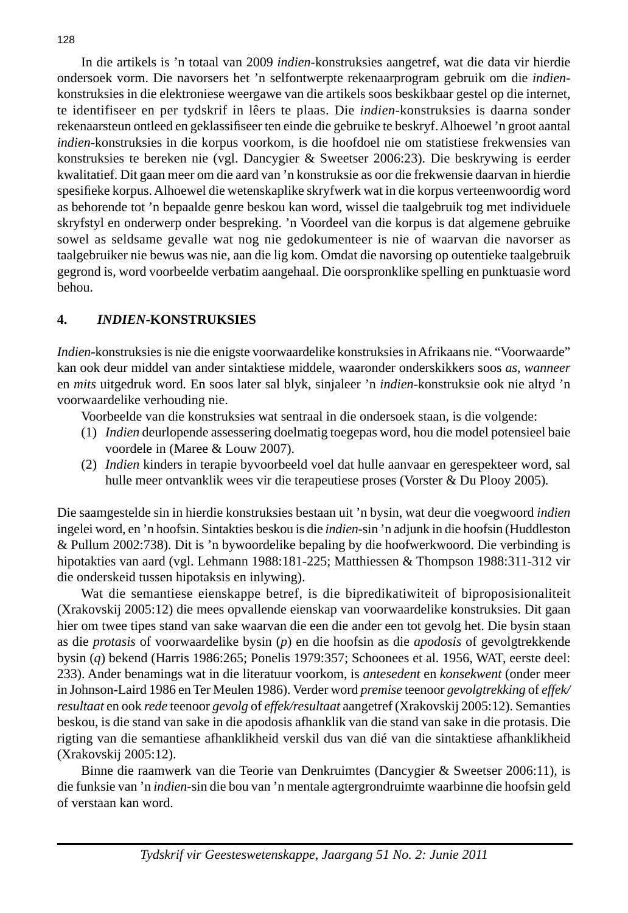In die artikels is 'n totaal van 2009 *indien*-konstruksies aangetref, wat die data vir hierdie ondersoek vorm. Die navorsers het 'n selfontwerpte rekenaarprogram gebruik om die *indien*konstruksies in die elektroniese weergawe van die artikels soos beskikbaar gestel op die internet, te identifiseer en per tydskrif in lêers te plaas. Die *indien*-konstruksies is daarna sonder rekenaarsteun ontleed en geklassifi seer ten einde die gebruike te beskryf. Alhoewel 'n groot aantal *indien*-konstruksies in die korpus voorkom, is die hoofdoel nie om statistiese frekwensies van konstruksies te bereken nie (vgl. Dancygier & Sweetser 2006:23). Die beskrywing is eerder kwalitatief. Dit gaan meer om die aard van 'n konstruksie as oor die frekwensie daarvan in hierdie spesifieke korpus. Alhoewel die wetenskaplike skryfwerk wat in die korpus verteenwoordig word as behorende tot 'n bepaalde genre beskou kan word, wissel die taalgebruik tog met individuele skryfstyl en onderwerp onder bespreking. 'n Voordeel van die korpus is dat algemene gebruike sowel as seldsame gevalle wat nog nie gedokumenteer is nie of waarvan die navorser as taalgebruiker nie bewus was nie, aan die lig kom. Omdat die navorsing op outentieke taalgebruik gegrond is, word voorbeelde verbatim aangehaal. Die oorspronklike spelling en punktuasie word behou.

## **4.** *INDIEN***-KONSTRUKSIES**

*Indien*-konstruksies is nie die enigste voorwaardelike konstruksies in Afrikaans nie. "Voorwaarde" kan ook deur middel van ander sintaktiese middele, waaronder onderskikkers soos *as*, *wanneer*  en *mits* uitgedruk word*.* En soos later sal blyk, sinjaleer 'n *indien*-konstruksie ook nie altyd 'n voorwaardelike verhouding nie.

Voorbeelde van die konstruksies wat sentraal in die ondersoek staan, is die volgende:

- (1) *Indien* deurlopende assessering doelmatig toegepas word, hou die model potensieel baie voordele in (Maree & Louw 2007).
- (2) *Indien* kinders in terapie byvoorbeeld voel dat hulle aanvaar en gerespekteer word, sal hulle meer ontvanklik wees vir die terapeutiese proses (Vorster & Du Plooy 2005)*.*

Die saamgestelde sin in hierdie konstruksies bestaan uit 'n bysin, wat deur die voegwoord *indien* ingelei word, en 'n hoofsin. Sintakties beskou is die *indien*-sin 'n adjunk in die hoofsin (Huddleston & Pullum 2002:738). Dit is 'n bywoordelike bepaling by die hoofwerkwoord. Die verbinding is hipotakties van aard (vgl. Lehmann 1988:181-225; Matthiessen & Thompson 1988:311-312 vir die onderskeid tussen hipotaksis en inlywing).

 Wat die semantiese eienskappe betref, is die bipredikatiwiteit of biproposisionaliteit (Xrakovskij 2005:12) die mees opvallende eienskap van voorwaardelike konstruksies. Dit gaan hier om twee tipes stand van sake waarvan die een die ander een tot gevolg het. Die bysin staan as die *protasis* of voorwaardelike bysin (*p*) en die hoofsin as die *apodosis* of gevolgtrekkende bysin (*q*) bekend (Harris 1986:265; Ponelis 1979:357; Schoonees et al. 1956, WAT, eerste deel: 233). Ander benamings wat in die literatuur voorkom, is *antesedent* en *konsekwent* (onder meer in Johnson-Laird 1986 en Ter Meulen 1986). Verder word *premise* teenoor *gevolgtrekking* of *effek/ resultaat* en ook *rede* teenoor *gevolg* of *effek/resultaat* aangetref (Xrakovskij 2005:12). Semanties beskou, is die stand van sake in die apodosis afhanklik van die stand van sake in die protasis. Die rigting van die semantiese afhanklikheid verskil dus van dié van die sintaktiese afhanklikheid (Xrakovskij 2005:12).

 Binne die raamwerk van die Teorie van Denkruimtes (Dancygier & Sweetser 2006:11)*,* is die funksie van 'n *indien*-sin die bou van 'n mentale agtergrondruimte waarbinne die hoofsin geld of verstaan kan word.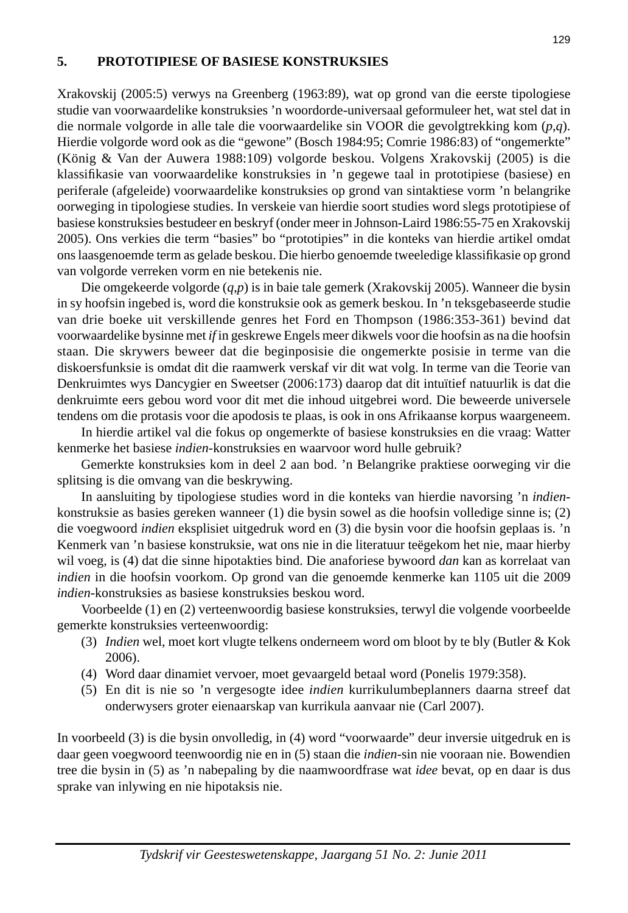#### **5. PROTOTIPIESE OF BASIESE KONSTRUKSIES**

Xrakovskij (2005:5) verwys na Greenberg (1963:89), wat op grond van die eerste tipologiese studie van voorwaardelike konstruksies 'n woordorde-universaal geformuleer het, wat stel dat in die normale volgorde in alle tale die voorwaardelike sin VOOR die gevolgtrekking kom (*p*,*q*). Hierdie volgorde word ook as die "gewone" (Bosch 1984:95; Comrie 1986:83) of "ongemerkte" (König & Van der Auwera 1988:109) volgorde beskou. Volgens Xrakovskij (2005) is die klassifikasie van voorwaardelike konstruksies in 'n gegewe taal in prototipiese (basiese) en periferale (afgeleide) voorwaardelike konstruksies op grond van sintaktiese vorm 'n belangrike oorweging in tipologiese studies. In verskeie van hierdie soort studies word slegs prototipiese of basiese konstruksies bestudeer en beskryf (onder meer in Johnson-Laird 1986:55-75 en Xrakovskij 2005). Ons verkies die term "basies" bo "prototipies" in die konteks van hierdie artikel omdat ons laasgenoemde term as gelade beskou. Die hierbo genoemde tweeledige klassifi kasie op grond van volgorde verreken vorm en nie betekenis nie.

 Die omgekeerde volgorde (*q*,*p*) is in baie tale gemerk (Xrakovskij 2005). Wanneer die bysin in sy hoofsin ingebed is, word die konstruksie ook as gemerk beskou. In 'n teksgebaseerde studie van drie boeke uit verskillende genres het Ford en Thompson (1986:353-361) bevind dat voorwaardelike bysinne met *if* in geskrewe Engels meer dikwels voor die hoofsin as na die hoofsin staan. Die skrywers beweer dat die beginposisie die ongemerkte posisie in terme van die diskoersfunksie is omdat dit die raamwerk verskaf vir dit wat volg. In terme van die Teorie van Denkruimtes wys Dancygier en Sweetser (2006:173) daarop dat dit intuïtief natuurlik is dat die denkruimte eers gebou word voor dit met die inhoud uitgebrei word. Die beweerde universele tendens om die protasis voor die apodosis te plaas, is ook in ons Afrikaanse korpus waargeneem.

In hierdie artikel val die fokus op ongemerkte of basiese konstruksies en die vraag: Watter kenmerke het basiese *indien*-konstruksies en waarvoor word hulle gebruik?

 Gemerkte konstruksies kom in deel 2 aan bod. 'n Belangrike praktiese oorweging vir die splitsing is die omvang van die beskrywing.

 In aansluiting by tipologiese studies word in die konteks van hierdie navorsing 'n *indien*konstruksie as basies gereken wanneer (1) die bysin sowel as die hoofsin volledige sinne is; (2) die voegwoord *indien* eksplisiet uitgedruk word en (3) die bysin voor die hoofsin geplaas is. 'n Kenmerk van 'n basiese konstruksie, wat ons nie in die literatuur teëgekom het nie, maar hierby wil voeg, is (4) dat die sinne hipotakties bind. Die anaforiese bywoord *dan* kan as korrelaat van *indien* in die hoofsin voorkom. Op grond van die genoemde kenmerke kan 1105 uit die 2009 *indien*-konstruksies as basiese konstruksies beskou word.

 Voorbeelde (1) en (2) verteenwoordig basiese konstruksies, terwyl die volgende voorbeelde gemerkte konstruksies verteenwoordig:

- (3) *Indien* wel, moet kort vlugte telkens onderneem word om bloot by te bly (Butler & Kok 2006).
- (4) Word daar dinamiet vervoer, moet gevaargeld betaal word (Ponelis 1979:358).
- (5) En dit is nie so 'n vergesogte idee *indien* kurrikulumbeplanners daarna streef dat onderwysers groter eienaarskap van kurrikula aanvaar nie (Carl 2007).

In voorbeeld (3) is die bysin onvolledig, in (4) word "voorwaarde" deur inversie uitgedruk en is daar geen voegwoord teenwoordig nie en in (5) staan die *indien*-sin nie vooraan nie. Bowendien tree die bysin in (5) as 'n nabepaling by die naamwoordfrase wat *idee* bevat, op en daar is dus sprake van inlywing en nie hipotaksis nie.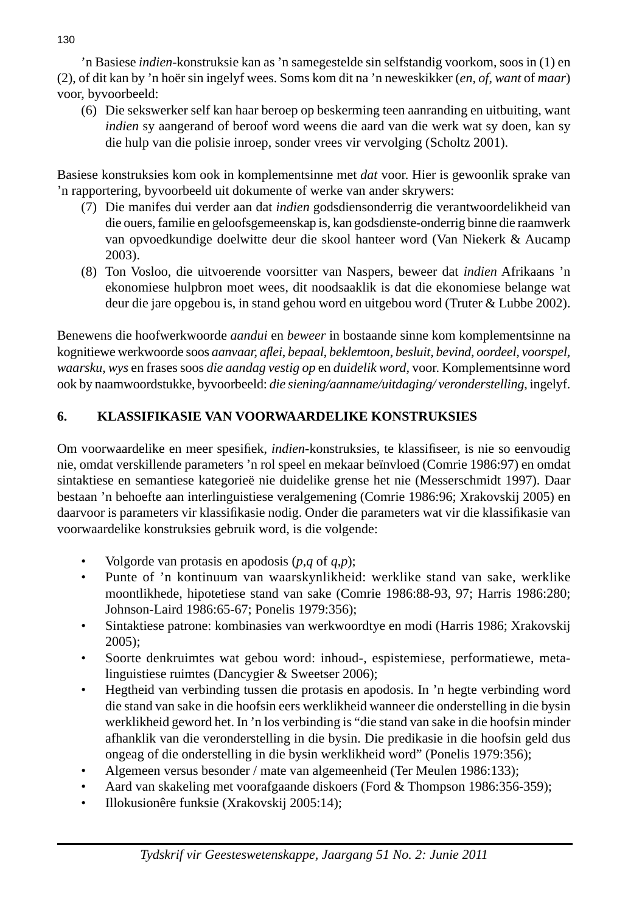'n Basiese *indien*-konstruksie kan as 'n samegestelde sin selfstandig voorkom, soos in (1) en (2), of dit kan by 'n hoër sin ingelyf wees. Soms kom dit na 'n neweskikker (*en*, *of*, *want* of *maar*) voor, byvoorbeeld:

 (6) Die sekswerker self kan haar beroep op beskerming teen aanranding en uitbuiting, want *indien* sy aangerand of beroof word weens die aard van die werk wat sy doen, kan sy die hulp van die polisie inroep, sonder vrees vir vervolging (Scholtz 2001).

Basiese konstruksies kom ook in komplementsinne met *dat* voor. Hier is gewoonlik sprake van 'n rapportering, byvoorbeeld uit dokumente of werke van ander skrywers:

- (7) Die manifes dui verder aan dat *indien* godsdiensonderrig die verantwoordelikheid van die ouers, familie en geloofsgemeenskap is, kan godsdienste-onderrig binne die raamwerk van opvoedkundige doelwitte deur die skool hanteer word (Van Niekerk & Aucamp 2003).
- (8) Ton Vosloo, die uitvoerende voorsitter van Naspers, beweer dat *indien* Afrikaans 'n ekonomiese hulpbron moet wees, dit noodsaaklik is dat die ekonomiese belange wat deur die jare opgebou is, in stand gehou word en uitgebou word (Truter & Lubbe 2002).

Benewens die hoofwerkwoorde *aandui* en *beweer* in bostaande sinne kom komplementsinne na kognitiewe werkwoorde soos *aanvaar, afl ei*, *bepaal*, *beklemtoon*, *besluit, bevind*, *oordeel, voorspel, waarsku*, *wys* en frases soos *die aandag vestig op* en *duidelik word,* voor. Komplementsinne word ook by naamwoordstukke, byvoorbeeld: *die siening/aanname/uitdaging/ veronderstelling*, ingelyf.

# **6. KLASSIFIKASIE VAN VOORWAARDELIKE KONSTRUKSIES**

Om voorwaardelike en meer spesifiek, *indien*-konstruksies, te klassifiseer, is nie so eenvoudig nie, omdat verskillende parameters 'n rol speel en mekaar beïnvloed (Comrie 1986:97) en omdat sintaktiese en semantiese kategorieë nie duidelike grense het nie (Messerschmidt 1997). Daar bestaan 'n behoefte aan interlinguistiese veralgemening (Comrie 1986:96; Xrakovskij 2005) en daarvoor is parameters vir klassifikasie nodig. Onder die parameters wat vir die klassifikasie van voorwaardelike konstruksies gebruik word, is die volgende:

- Volgorde van protasis en apodosis  $(p,q \text{ of } q,p)$ ;
- Punte of 'n kontinuum van waarskynlikheid: werklike stand van sake, werklike moontlikhede, hipotetiese stand van sake (Comrie 1986:88-93, 97; Harris 1986:280; Johnson-Laird 1986:65-67; Ponelis 1979:356);
- Sintaktiese patrone: kombinasies van werkwoordtye en modi (Harris 1986; Xrakovskij 2005);
- Soorte denkruimtes wat gebou word: inhoud-, espistemiese, performatiewe, metalinguistiese ruimtes (Dancygier & Sweetser 2006);
- Hegtheid van verbinding tussen die protasis en apodosis. In 'n hegte verbinding word die stand van sake in die hoofsin eers werklikheid wanneer die onderstelling in die bysin werklikheid geword het. In 'n los verbinding is "die stand van sake in die hoofsin minder afhanklik van die veronderstelling in die bysin. Die predikasie in die hoofsin geld dus ongeag of die onderstelling in die bysin werklikheid word" (Ponelis 1979:356);
- Algemeen versus besonder / mate van algemeenheid (Ter Meulen 1986:133);
- Aard van skakeling met voorafgaande diskoers (Ford & Thompson 1986:356-359);
- Illokusionêre funksie (Xrakovskij 2005:14);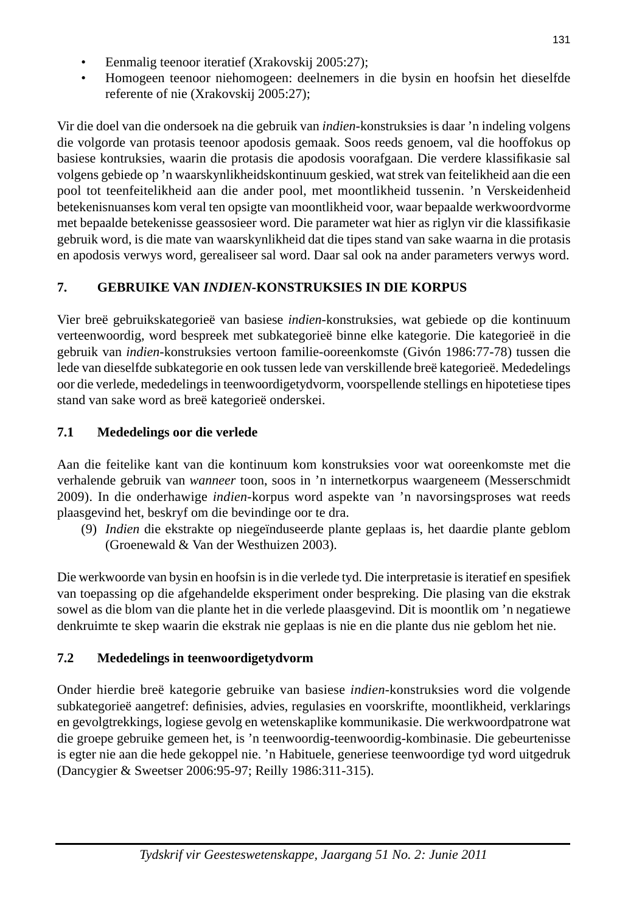- Eenmalig teenoor iteratief (Xrakovskij 2005:27);
- Homogeen teenoor niehomogeen: deelnemers in die bysin en hoofsin het dieselfde referente of nie (Xrakovskij 2005:27);

Vir die doel van die ondersoek na die gebruik van *indien*-konstruksies is daar 'n indeling volgens die volgorde van protasis teenoor apodosis gemaak. Soos reeds genoem, val die hooffokus op basiese kontruksies, waarin die protasis die apodosis voorafgaan. Die verdere klassifikasie sal volgens gebiede op 'n waarskynlikheidskontinuum geskied, wat strek van feitelikheid aan die een pool tot teenfeitelikheid aan die ander pool, met moontlikheid tussenin. 'n Verskeidenheid betekenisnuanses kom veral ten opsigte van moontlikheid voor, waar bepaalde werkwoordvorme met bepaalde betekenisse geassosieer word. Die parameter wat hier as riglyn vir die klassifi kasie gebruik word, is die mate van waarskynlikheid dat die tipes stand van sake waarna in die protasis en apodosis verwys word, gerealiseer sal word. Daar sal ook na ander parameters verwys word.

# **7. GEBRUIKE VAN** *INDIEN-***KONSTRUKSIES IN DIE KORPUS**

Vier breë gebruikskategorieë van basiese *indien*-konstruksies, wat gebiede op die kontinuum verteenwoordig, word bespreek met subkategorieë binne elke kategorie. Die kategorieë in die gebruik van *indien*-konstruksies vertoon familie-ooreenkomste (Givón 1986:77-78) tussen die lede van dieselfde subkategorie en ook tussen lede van verskillende breë kategorieë. Mededelings oor die verlede, mededelings in teenwoordigetydvorm, voorspellende stellings en hipotetiese tipes stand van sake word as breë kategorieë onderskei.

# **7.1 Mededelings oor die verlede**

Aan die feitelike kant van die kontinuum kom konstruksies voor wat ooreenkomste met die verhalende gebruik van *wanneer* toon, soos in 'n internetkorpus waargeneem (Messerschmidt 2009). In die onderhawige *indien*-korpus word aspekte van 'n navorsingsproses wat reeds plaasgevind het, beskryf om die bevindinge oor te dra.

 (9) *Indien* die ekstrakte op niegeïnduseerde plante geplaas is, het daardie plante geblom (Groenewald & Van der Westhuizen 2003).

Die werkwoorde van bysin en hoofsin is in die verlede tyd. Die interpretasie is iteratief en spesifiek van toepassing op die afgehandelde eksperiment onder bespreking. Die plasing van die ekstrak sowel as die blom van die plante het in die verlede plaasgevind. Dit is moontlik om 'n negatiewe denkruimte te skep waarin die ekstrak nie geplaas is nie en die plante dus nie geblom het nie.

# **7.2 Mededelings in teenwoordigetydvorm**

Onder hierdie breë kategorie gebruike van basiese *indien*-konstruksies word die volgende subkategorieë aangetref: definisies, advies, regulasies en voorskrifte, moontlikheid, verklarings en gevolgtrekkings, logiese gevolg en wetenskaplike kommunikasie. Die werkwoordpatrone wat die groepe gebruike gemeen het, is 'n teenwoordig-teenwoordig-kombinasie. Die gebeurtenisse is egter nie aan die hede gekoppel nie. 'n Habituele, generiese teenwoordige tyd word uitgedruk (Dancygier & Sweetser 2006:95-97; Reilly 1986:311-315).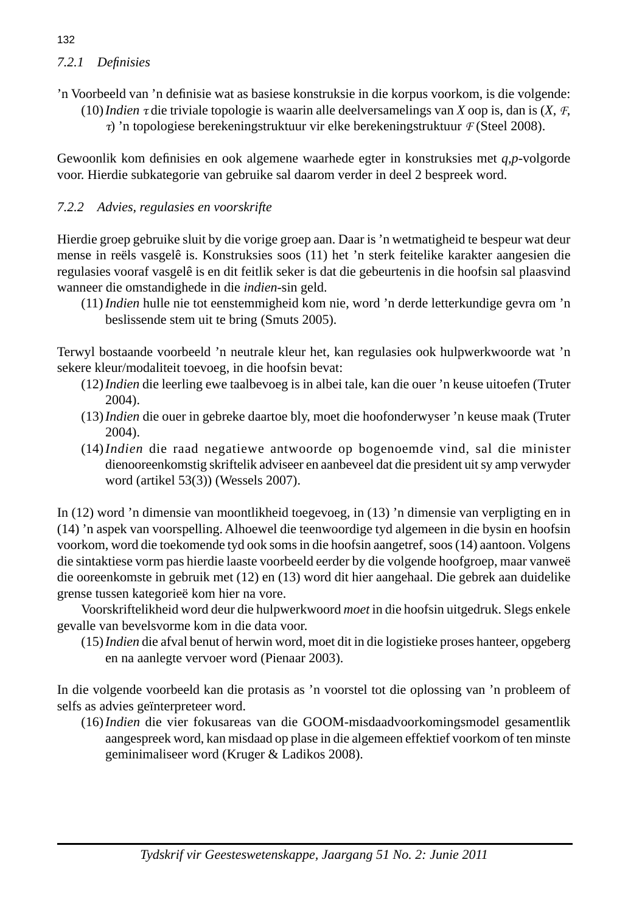# *7.2.1 Defi nisies*

- 'n Voorbeeld van 'n definisie wat as basiese konstruksie in die korpus voorkom, is die volgende:
	- (10) *Indien* τ die triviale topologie is waarin alle deelversamelings van *X* oop is, dan is (*X*, *F*,
		- τ) 'n topologiese berekeningstruktuur vir elke berekeningstruktuur *F* (Steel 2008).

Gewoonlik kom definisies en ook algemene waarhede egter in konstruksies met *q,p*-volgorde voor. Hierdie subkategorie van gebruike sal daarom verder in deel 2 bespreek word.

## *7.2.2 Advies, regulasies en voorskrifte*

Hierdie groep gebruike sluit by die vorige groep aan. Daar is 'n wetmatigheid te bespeur wat deur mense in reëls vasgelê is. Konstruksies soos (11) het 'n sterk feitelike karakter aangesien die regulasies vooraf vasgelê is en dit feitlik seker is dat die gebeurtenis in die hoofsin sal plaasvind wanneer die omstandighede in die *indien*-sin geld.

 (11) *Indien* hulle nie tot eenstemmigheid kom nie, word 'n derde letterkundige gevra om 'n beslissende stem uit te bring (Smuts 2005).

Terwyl bostaande voorbeeld 'n neutrale kleur het, kan regulasies ook hulpwerkwoorde wat 'n sekere kleur/modaliteit toevoeg, in die hoofsin bevat:

- (12) *Indien* die leerling ewe taalbevoeg is in albei tale, kan die ouer 'n keuse uitoefen (Truter 2004).
- (13) *Indien* die ouer in gebreke daartoe bly, moet die hoofonderwyser 'n keuse maak (Truter 2004).
- (14) *Indien* die raad negatiewe antwoorde op bogenoemde vind, sal die minister dienooreenkomstig skriftelik adviseer en aanbeveel dat die president uit sy amp verwyder word (artikel 53(3)) (Wessels 2007).

In (12) word 'n dimensie van moontlikheid toegevoeg, in (13) 'n dimensie van verpligting en in (14) 'n aspek van voorspelling. Alhoewel die teenwoordige tyd algemeen in die bysin en hoofsin voorkom, word die toekomende tyd ook soms in die hoofsin aangetref, soos (14) aantoon. Volgens die sintaktiese vorm pas hierdie laaste voorbeeld eerder by die volgende hoofgroep, maar vanweë die ooreenkomste in gebruik met (12) en (13) word dit hier aangehaal. Die gebrek aan duidelike grense tussen kategorieë kom hier na vore.

 Voorskriftelikheid word deur die hulpwerkwoord *moet* in die hoofsin uitgedruk. Slegs enkele gevalle van bevelsvorme kom in die data voor.

 (15) *Indien* die afval benut of herwin word, moet dit in die logistieke proses hanteer, opgeberg en na aanlegte vervoer word (Pienaar 2003).

In die volgende voorbeeld kan die protasis as 'n voorstel tot die oplossing van 'n probleem of selfs as advies geïnterpreteer word.

 (16) *Indien* die vier fokusareas van die GOOM-misdaadvoorkomingsmodel gesamentlik aangespreek word, kan misdaad op plase in die algemeen effektief voorkom of ten minste geminimaliseer word (Kruger & Ladikos 2008).

## 132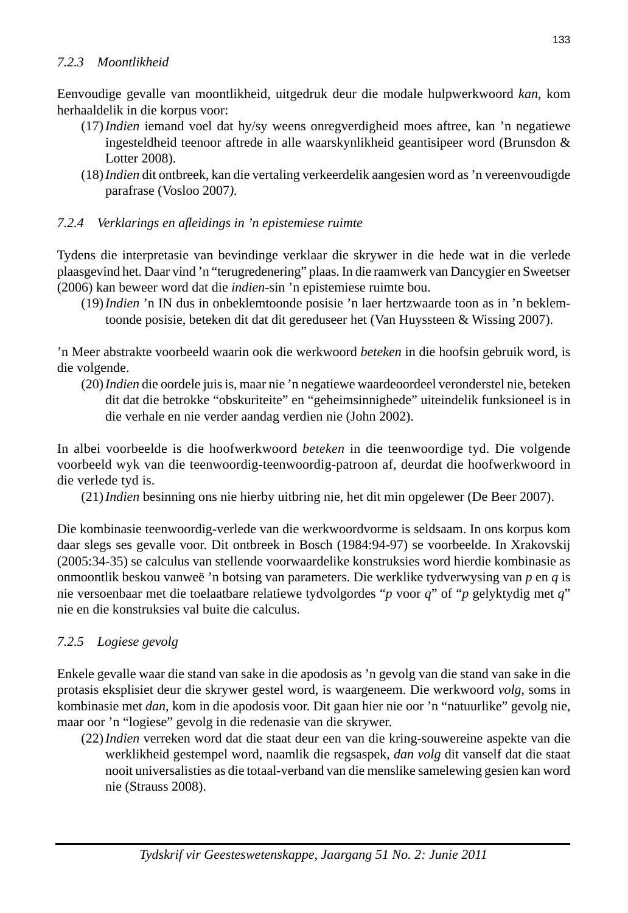Eenvoudige gevalle van moontlikheid, uitgedruk deur die modale hulpwerkwoord *kan*, kom herhaaldelik in die korpus voor:

- (17) *Indien* iemand voel dat hy/sy weens onregverdigheid moes aftree, kan 'n negatiewe ingesteldheid teenoor aftrede in alle waarskynlikheid geantisipeer word (Brunsdon & Lotter 2008).
- (18) *Indien* dit ontbreek, kan die vertaling verkeerdelik aangesien word as 'n vereenvoudigde parafrase (Vosloo 2007*).*

## *7.2.4 Verklarings en afl eidings in 'n epistemiese ruimte*

Tydens die interpretasie van bevindinge verklaar die skrywer in die hede wat in die verlede plaasgevind het. Daar vind 'n "terugredenering" plaas. In die raamwerk van Dancygier en Sweetser (2006) kan beweer word dat die *indien*-sin 'n epistemiese ruimte bou.

 (19) *Indien* 'n IN dus in onbeklemtoonde posisie 'n laer hertzwaarde toon as in 'n beklemtoonde posisie, beteken dit dat dit gereduseer het (Van Huyssteen & Wissing 2007).

'n Meer abstrakte voorbeeld waarin ook die werkwoord *beteken* in die hoofsin gebruik word, is die volgende.

 (20) *Indien* die oordele juis is, maar nie 'n negatiewe waardeoordeel veronderstel nie, beteken dit dat die betrokke "obskuriteite" en "geheimsinnighede" uiteindelik funksioneel is in die verhale en nie verder aandag verdien nie (John 2002).

In albei voorbeelde is die hoofwerkwoord *beteken* in die teenwoordige tyd. Die volgende voorbeeld wyk van die teenwoordig-teenwoordig-patroon af, deurdat die hoofwerkwoord in die verlede tyd is.

(21) *Indien* besinning ons nie hierby uitbring nie, het dit min opgelewer (De Beer 2007).

Die kombinasie teenwoordig-verlede van die werkwoordvorme is seldsaam. In ons korpus kom daar slegs ses gevalle voor. Dit ontbreek in Bosch (1984:94-97) se voorbeelde. In Xrakovskij (2005:34-35) se calculus van stellende voorwaardelike konstruksies word hierdie kombinasie as onmoontlik beskou vanweë 'n botsing van parameters. Die werklike tydverwysing van *p* en *q* is nie versoenbaar met die toelaatbare relatiewe tydvolgordes "*p* voor *q*" of "*p* gelyktydig met *q*" nie en die konstruksies val buite die calculus.

## *7.2.5 Logiese gevolg*

Enkele gevalle waar die stand van sake in die apodosis as 'n gevolg van die stand van sake in die protasis eksplisiet deur die skrywer gestel word, is waargeneem. Die werkwoord *volg*, soms in kombinasie met *dan*, kom in die apodosis voor. Dit gaan hier nie oor 'n "natuurlike" gevolg nie, maar oor 'n "logiese" gevolg in die redenasie van die skrywer.

 (22) *Indien* verreken word dat die staat deur een van die kring-souwereine aspekte van die werklikheid gestempel word, naamlik die regsaspek, *dan volg* dit vanself dat die staat nooit universalisties as die totaal-verband van die menslike samelewing gesien kan word nie (Strauss 2008).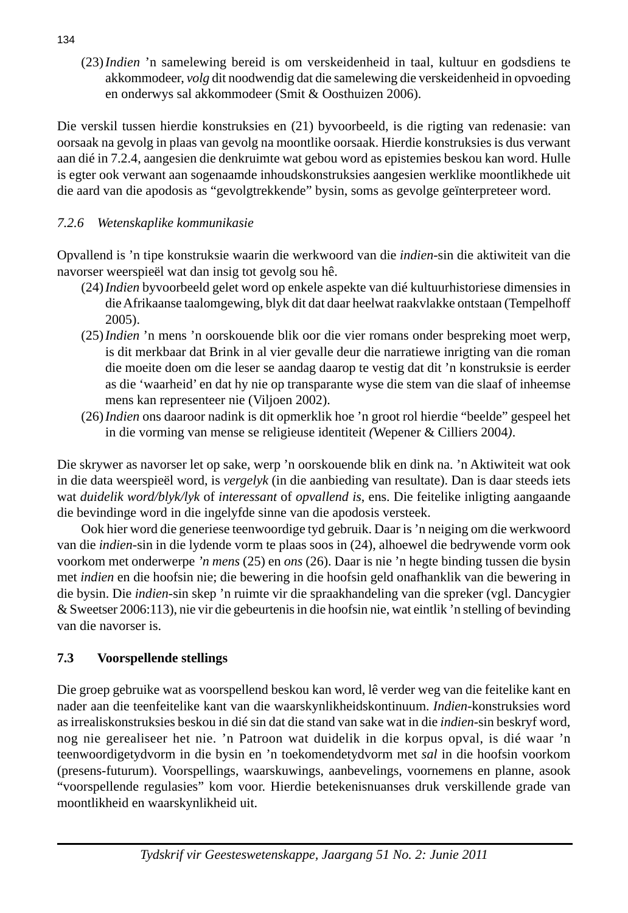(23) *Indien* 'n samelewing bereid is om verskeidenheid in taal, kultuur en godsdiens te akkommodeer, *volg* dit noodwendig dat die samelewing die verskeidenheid in opvoeding en onderwys sal akkommodeer (Smit & Oosthuizen 2006).

Die verskil tussen hierdie konstruksies en (21) byvoorbeeld, is die rigting van redenasie: van oorsaak na gevolg in plaas van gevolg na moontlike oorsaak. Hierdie konstruksies is dus verwant aan dié in 7.2.4, aangesien die denkruimte wat gebou word as epistemies beskou kan word. Hulle is egter ook verwant aan sogenaamde inhoudskonstruksies aangesien werklike moontlikhede uit die aard van die apodosis as "gevolgtrekkende" bysin, soms as gevolge geïnterpreteer word.

# *7.2.6 Wetenskaplike kommunikasie*

Opvallend is 'n tipe konstruksie waarin die werkwoord van die *indien*-sin die aktiwiteit van die navorser weerspieël wat dan insig tot gevolg sou hê.

- (24) *Indien* byvoorbeeld gelet word op enkele aspekte van dié kultuurhistoriese dimensies in die Afrikaanse taalomgewing, blyk dit dat daar heelwat raakvlakke ontstaan (Tempelhoff 2005).
- (25) *Indien* 'n mens 'n oorskouende blik oor die vier romans onder bespreking moet werp, is dit merkbaar dat Brink in al vier gevalle deur die narratiewe inrigting van die roman die moeite doen om die leser se aandag daarop te vestig dat dit 'n konstruksie is eerder as die 'waarheid' en dat hy nie op transparante wyse die stem van die slaaf of inheemse mens kan representeer nie (Viljoen 2002).
- (26) *Indien* ons daaroor nadink is dit opmerklik hoe 'n groot rol hierdie "beelde" gespeel het in die vorming van mense se religieuse identiteit *(*Wepener & Cilliers 2004*)*.

Die skrywer as navorser let op sake, werp 'n oorskouende blik en dink na. 'n Aktiwiteit wat ook in die data weerspieël word, is *vergelyk* (in die aanbieding van resultate). Dan is daar steeds iets wat *duidelik word/blyk/lyk* of *interessant* of *opvallend is*, ens. Die feitelike inligting aangaande die bevindinge word in die ingelyfde sinne van die apodosis versteek.

 Ook hier word die generiese teenwoordige tyd gebruik. Daar is 'n neiging om die werkwoord van die *indien*-sin in die lydende vorm te plaas soos in (24), alhoewel die bedrywende vorm ook voorkom met onderwerpe *'n mens* (25) en *ons* (26). Daar is nie 'n hegte binding tussen die bysin met *indien* en die hoofsin nie; die bewering in die hoofsin geld onafhanklik van die bewering in die bysin. Die *indien*-sin skep 'n ruimte vir die spraakhandeling van die spreker (vgl. Dancygier & Sweetser 2006:113), nie vir die gebeurtenis in die hoofsin nie, wat eintlik 'n stelling of bevinding van die navorser is.

## **7.3 Voorspellende stellings**

Die groep gebruike wat as voorspellend beskou kan word, lê verder weg van die feitelike kant en nader aan die teenfeitelike kant van die waarskynlikheidskontinuum. *Indien*-konstruksies word as irrealiskonstruksies beskou in dié sin dat die stand van sake wat in die *indien*-sin beskryf word, nog nie gerealiseer het nie. 'n Patroon wat duidelik in die korpus opval, is dié waar 'n teenwoordigetydvorm in die bysin en 'n toekomendetydvorm met *sal* in die hoofsin voorkom (presens-futurum). Voorspellings, waarskuwings, aanbevelings, voornemens en planne, asook "voorspellende regulasies" kom voor. Hierdie betekenisnuanses druk verskillende grade van moontlikheid en waarskynlikheid uit.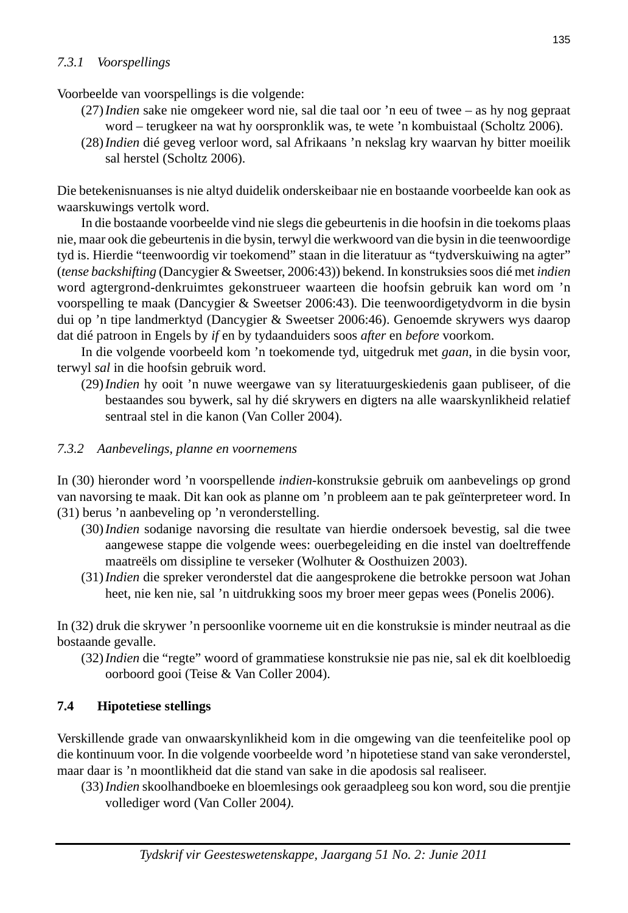## *7.3.1 Voorspellings*

Voorbeelde van voorspellings is die volgende:

- (27) *Indien* sake nie omgekeer word nie, sal die taal oor 'n eeu of twee as hy nog gepraat word – terugkeer na wat hy oorspronklik was, te wete 'n kombuistaal (Scholtz 2006).
- (28) *Indien* dié geveg verloor word, sal Afrikaans 'n nekslag kry waarvan hy bitter moeilik sal herstel (Scholtz 2006).

Die betekenisnuanses is nie altyd duidelik onderskeibaar nie en bostaande voorbeelde kan ook as waarskuwings vertolk word.

 In die bostaande voorbeelde vind nie slegs die gebeurtenis in die hoofsin in die toekoms plaas nie, maar ook die gebeurtenis in die bysin, terwyl die werkwoord van die bysin in die teenwoordige tyd is. Hierdie "teenwoordig vir toekomend" staan in die literatuur as "tydverskuiwing na agter" (*tense backshifting* (Dancygier & Sweetser, 2006:43)) bekend. In konstruksies soos dié met *indien*  word agtergrond-denkruimtes gekonstrueer waarteen die hoofsin gebruik kan word om 'n voorspelling te maak (Dancygier & Sweetser 2006:43). Die teenwoordigetydvorm in die bysin dui op 'n tipe landmerktyd (Dancygier & Sweetser 2006:46). Genoemde skrywers wys daarop dat dié patroon in Engels by *if* en by tydaanduiders soos *after* en *before* voorkom.

 In die volgende voorbeeld kom 'n toekomende tyd, uitgedruk met *gaan*, in die bysin voor, terwyl *sal* in die hoofsin gebruik word.

 (29) *Indien* hy ooit 'n nuwe weergawe van sy literatuurgeskiedenis gaan publiseer, of die bestaandes sou bywerk, sal hy dié skrywers en digters na alle waarskynlikheid relatief sentraal stel in die kanon (Van Coller 2004).

## *7.3.2 Aanbevelings, planne en voornemens*

In (30) hieronder word 'n voorspellende *indien*-konstruksie gebruik om aanbevelings op grond van navorsing te maak. Dit kan ook as planne om 'n probleem aan te pak geïnterpreteer word. In (31) berus 'n aanbeveling op 'n veronderstelling.

- (30) *Indien* sodanige navorsing die resultate van hierdie ondersoek bevestig, sal die twee aangewese stappe die volgende wees: ouerbegeleiding en die instel van doeltreffende maatreëls om dissipline te verseker (Wolhuter & Oosthuizen 2003).
- (31) *Indien* die spreker veronderstel dat die aangesprokene die betrokke persoon wat Johan heet, nie ken nie, sal 'n uitdrukking soos my broer meer gepas wees (Ponelis 2006).

In (32) druk die skrywer 'n persoonlike voorneme uit en die konstruksie is minder neutraal as die bostaande gevalle.

 (32) *Indien* die "regte" woord of grammatiese konstruksie nie pas nie, sal ek dit koelbloedig oorboord gooi (Teise & Van Coller 2004).

## **7.4 Hipotetiese stellings**

Verskillende grade van onwaarskynlikheid kom in die omgewing van die teenfeitelike pool op die kontinuum voor. In die volgende voorbeelde word 'n hipotetiese stand van sake veronderstel, maar daar is 'n moontlikheid dat die stand van sake in die apodosis sal realiseer.

 (33) *Indien* skoolhandboeke en bloemlesings ook geraadpleeg sou kon word, sou die prentjie vollediger word (Van Coller 2004*).*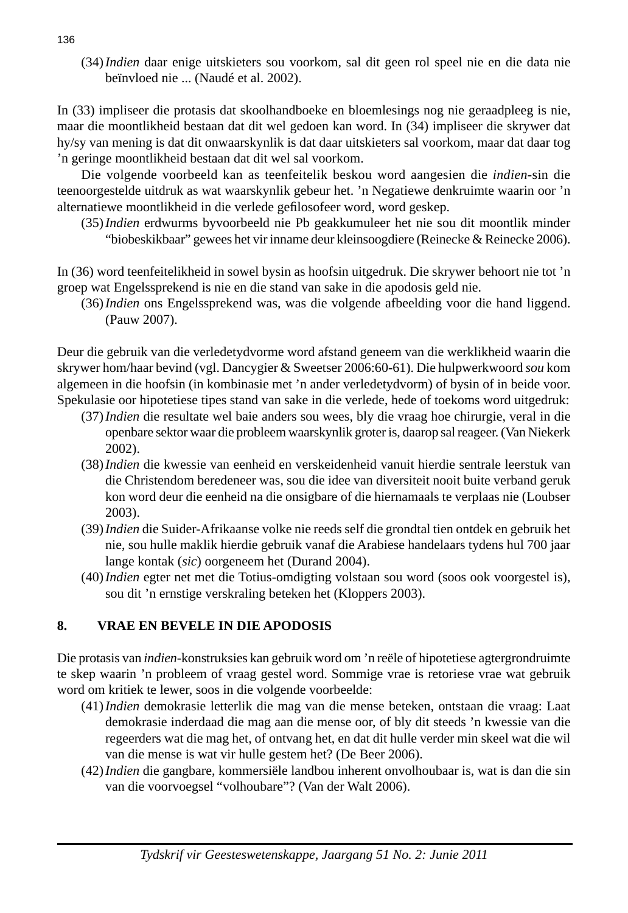(34) *Indien* daar enige uitskieters sou voorkom, sal dit geen rol speel nie en die data nie beïnvloed nie ... (Naudé et al. 2002).

In (33) impliseer die protasis dat skoolhandboeke en bloemlesings nog nie geraadpleeg is nie, maar die moontlikheid bestaan dat dit wel gedoen kan word. In (34) impliseer die skrywer dat hy/sy van mening is dat dit onwaarskynlik is dat daar uitskieters sal voorkom, maar dat daar tog 'n geringe moontlikheid bestaan dat dit wel sal voorkom.

 Die volgende voorbeeld kan as teenfeitelik beskou word aangesien die *indien*-sin die teenoorgestelde uitdruk as wat waarskynlik gebeur het. 'n Negatiewe denkruimte waarin oor 'n alternatiewe moontlikheid in die verlede gefilosofeer word, word geskep.

 (35) *Indien* erdwurms byvoorbeeld nie Pb geakkumuleer het nie sou dit moontlik minder "biobeskikbaar" gewees het vir inname deur kleinsoogdiere (Reinecke & Reinecke 2006).

In (36) word teenfeitelikheid in sowel bysin as hoofsin uitgedruk. Die skrywer behoort nie tot 'n groep wat Engelssprekend is nie en die stand van sake in die apodosis geld nie.

 (36) *Indien* ons Engelssprekend was, was die volgende afbeelding voor die hand liggend. (Pauw 2007).

Deur die gebruik van die verledetydvorme word afstand geneem van die werklikheid waarin die skrywer hom/haar bevind (vgl. Dancygier & Sweetser 2006:60-61). Die hulpwerkwoord *sou* kom algemeen in die hoofsin (in kombinasie met 'n ander verledetydvorm) of bysin of in beide voor. Spekulasie oor hipotetiese tipes stand van sake in die verlede, hede of toekoms word uitgedruk:

- (37) *Indien* die resultate wel baie anders sou wees, bly die vraag hoe chirurgie, veral in die openbare sektor waar die probleem waarskynlik groter is, daarop sal reageer. (Van Niekerk 2002).
- (38) *Indien* die kwessie van eenheid en verskeidenheid vanuit hierdie sentrale leerstuk van die Christendom beredeneer was, sou die idee van diversiteit nooit buite verband geruk kon word deur die eenheid na die onsigbare of die hiernamaals te verplaas nie (Loubser 2003).
- (39) *Indien* die Suider-Afrikaanse volke nie reeds self die grondtal tien ontdek en gebruik het nie, sou hulle maklik hierdie gebruik vanaf die Arabiese handelaars tydens hul 700 jaar lange kontak (*sic*) oorgeneem het (Durand 2004).
- (40) *Indien* egter net met die Totius-omdigting volstaan sou word (soos ook voorgestel is), sou dit 'n ernstige verskraling beteken het (Kloppers 2003).

## **8. VRAE EN BEVELE IN DIE APODOSIS**

Die protasis van *indien*-konstruksies kan gebruik word om 'n reële of hipotetiese agtergrondruimte te skep waarin 'n probleem of vraag gestel word. Sommige vrae is retoriese vrae wat gebruik word om kritiek te lewer, soos in die volgende voorbeelde:

- (41) *Indien* demokrasie letterlik die mag van die mense beteken, ontstaan die vraag: Laat demokrasie inderdaad die mag aan die mense oor, of bly dit steeds 'n kwessie van die regeerders wat die mag het, of ontvang het, en dat dit hulle verder min skeel wat die wil van die mense is wat vir hulle gestem het? (De Beer 2006).
- (42) *Indien* die gangbare, kommersiële landbou inherent onvolhoubaar is, wat is dan die sin van die voorvoegsel "volhoubare"? (Van der Walt 2006).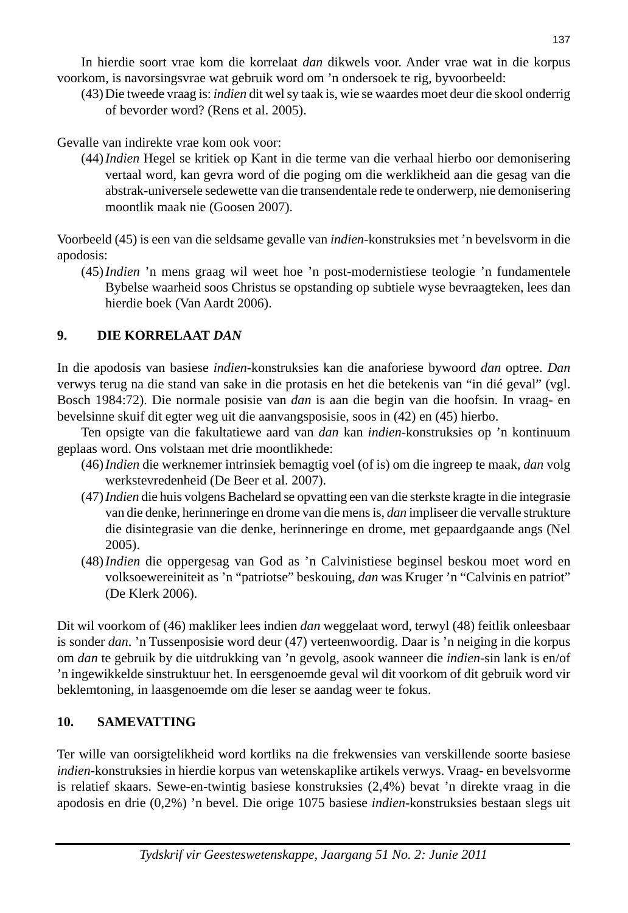In hierdie soort vrae kom die korrelaat *dan* dikwels voor. Ander vrae wat in die korpus voorkom, is navorsingsvrae wat gebruik word om 'n ondersoek te rig, byvoorbeeld:

 (43) Die tweede vraag is: *indien* dit wel sy taak is, wie se waardes moet deur die skool onderrig of bevorder word? (Rens et al. 2005).

Gevalle van indirekte vrae kom ook voor:

 (44) *Indien* Hegel se kritiek op Kant in die terme van die verhaal hierbo oor demonisering vertaal word, kan gevra word of die poging om die werklikheid aan die gesag van die abstrak-universele sedewette van die transendentale rede te onderwerp, nie demonisering moontlik maak nie (Goosen 2007).

Voorbeeld (45) is een van die seldsame gevalle van *indien*-konstruksies met 'n bevelsvorm in die apodosis:

 (45) *Indien* 'n mens graag wil weet hoe 'n post-modernistiese teologie 'n fundamentele Bybelse waarheid soos Christus se opstanding op subtiele wyse bevraagteken, lees dan hierdie boek (Van Aardt 2006).

# **9. DIE KORRELAAT** *DAN*

In die apodosis van basiese *indien*-konstruksies kan die anaforiese bywoord *dan* optree. *Dan*  verwys terug na die stand van sake in die protasis en het die betekenis van "in dié geval" (vgl. Bosch 1984:72). Die normale posisie van *dan* is aan die begin van die hoofsin. In vraag- en bevelsinne skuif dit egter weg uit die aanvangsposisie, soos in (42) en (45) hierbo.

 Ten opsigte van die fakultatiewe aard van *dan* kan *indien*-konstruksies op 'n kontinuum geplaas word. Ons volstaan met drie moontlikhede:

- (46) *Indien* die werknemer intrinsiek bemagtig voel (of is) om die ingreep te maak, *dan* volg werkstevredenheid (De Beer et al. 2007).
- (47) *Indien* die huis volgens Bachelard se opvatting een van die sterkste kragte in die integrasie van die denke, herinneringe en drome van die mens is, *dan* impliseer die vervalle strukture die disintegrasie van die denke, herinneringe en drome, met gepaardgaande angs (Nel 2005).
- (48) *Indien* die oppergesag van God as 'n Calvinistiese beginsel beskou moet word en volksoewereiniteit as 'n "patriotse" beskouing, *dan* was Kruger 'n "Calvinis en patriot" (De Klerk 2006).

Dit wil voorkom of (46) makliker lees indien *dan* weggelaat word, terwyl (48) feitlik onleesbaar is sonder *dan*. 'n Tussenposisie word deur (47) verteenwoordig. Daar is 'n neiging in die korpus om *dan* te gebruik by die uitdrukking van 'n gevolg, asook wanneer die *indien*-sin lank is en/of 'n ingewikkelde sinstruktuur het. In eersgenoemde geval wil dit voorkom of dit gebruik word vir beklemtoning, in laasgenoemde om die leser se aandag weer te fokus.

# **10. SAMEVATTING**

Ter wille van oorsigtelikheid word kortliks na die frekwensies van verskillende soorte basiese *indien*-konstruksies in hierdie korpus van wetenskaplike artikels verwys. Vraag- en bevelsvorme is relatief skaars. Sewe-en-twintig basiese konstruksies (2,4%) bevat 'n direkte vraag in die apodosis en drie (0,2%) 'n bevel. Die orige 1075 basiese *indien*-konstruksies bestaan slegs uit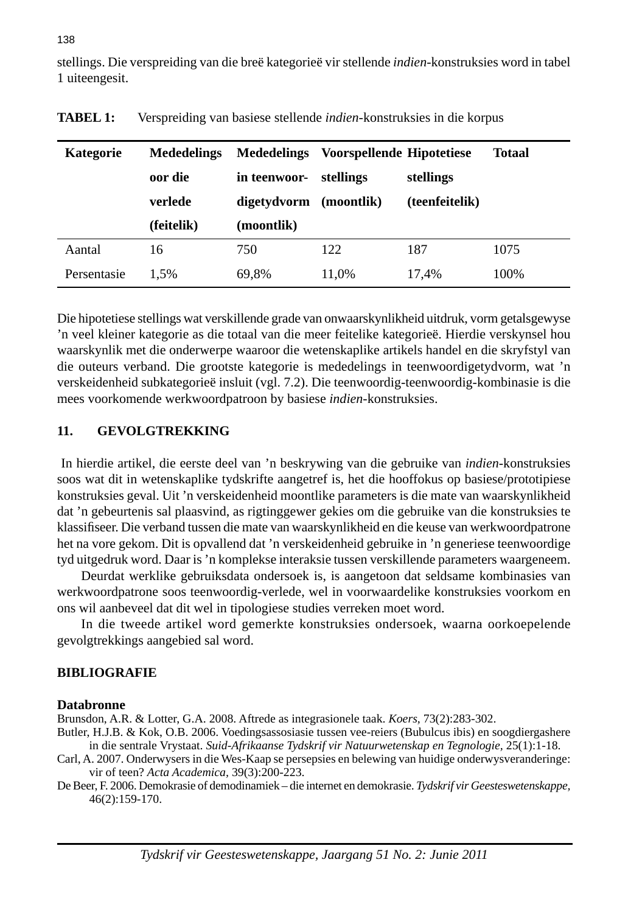stellings. Die verspreiding van die breë kategorieë vir stellende *indien*-konstruksies word in tabel 1 uiteengesit.

| Kategorie   | <b>Mededelings</b><br>oor die<br>verlede | <b>Mededelings</b><br>in teenwoor-<br>digetydvorm | Voorspellende Hipotetiese<br>stellings<br>(moontlik) | stellings<br>(teenfeitelik) | Totaal |
|-------------|------------------------------------------|---------------------------------------------------|------------------------------------------------------|-----------------------------|--------|
|             | (feitelik)                               | (moontlik)                                        |                                                      |                             |        |
| Aantal      | 16                                       | 750                                               | 122                                                  | 187                         | 1075   |
| Persentasie | 1.5%                                     | 69,8%                                             | 11.0%                                                | 17.4%                       | 100%   |

**TABEL 1:** Verspreiding van basiese stellende *indien*-konstruksies in die korpus

Die hipotetiese stellings wat verskillende grade van onwaarskynlikheid uitdruk, vorm getalsgewyse 'n veel kleiner kategorie as die totaal van die meer feitelike kategorieë. Hierdie verskynsel hou waarskynlik met die onderwerpe waaroor die wetenskaplike artikels handel en die skryfstyl van die outeurs verband. Die grootste kategorie is mededelings in teenwoordigetydvorm, wat 'n verskeidenheid subkategorieë insluit (vgl. 7.2). Die teenwoordig-teenwoordig-kombinasie is die mees voorkomende werkwoordpatroon by basiese *indien*-konstruksies.

## **11. GEVOLGTREKKING**

 In hierdie artikel, die eerste deel van 'n beskrywing van die gebruike van *indien*-konstruksies soos wat dit in wetenskaplike tydskrifte aangetref is, het die hooffokus op basiese/prototipiese konstruksies geval. Uit 'n verskeidenheid moontlike parameters is die mate van waarskynlikheid dat 'n gebeurtenis sal plaasvind, as rigtinggewer gekies om die gebruike van die konstruksies te klassifi seer. Die verband tussen die mate van waarskynlikheid en die keuse van werkwoordpatrone het na vore gekom. Dit is opvallend dat 'n verskeidenheid gebruike in 'n generiese teenwoordige tyd uitgedruk word. Daar is 'n komplekse interaksie tussen verskillende parameters waargeneem.

 Deurdat werklike gebruiksdata ondersoek is, is aangetoon dat seldsame kombinasies van werkwoordpatrone soos teenwoordig-verlede, wel in voorwaardelike konstruksies voorkom en ons wil aanbeveel dat dit wel in tipologiese studies verreken moet word.

 In die tweede artikel word gemerkte konstruksies ondersoek, waarna oorkoepelende gevolgtrekkings aangebied sal word.

#### **BIBLIOGRAFIE**

#### **Databronne**

Brunsdon, A.R. & Lotter, G.A. 2008. Aftrede as integrasionele taak. *Koers,* 73(2):283-302.

- Butler, H.J.B. & Kok, O.B. 2006. Voedingsassosiasie tussen vee-reiers (Bubulcus ibis) en soogdiergashere in die sentrale Vrystaat. *Suid-Afrikaanse Tydskrif vir Natuurwetenskap en Tegnologie,* 25(1):1-18.
- Carl, A. 2007. Onderwysers in die Wes-Kaap se persepsies en belewing van huidige onderwysveranderinge: vir of teen? *Acta Academica,* 39(3):200-223.
- De Beer, F. 2006. Demokrasie of demodinamiek die internet en demokrasie. *Tydskrif vir Geesteswetenskappe,* 46(2):159-170.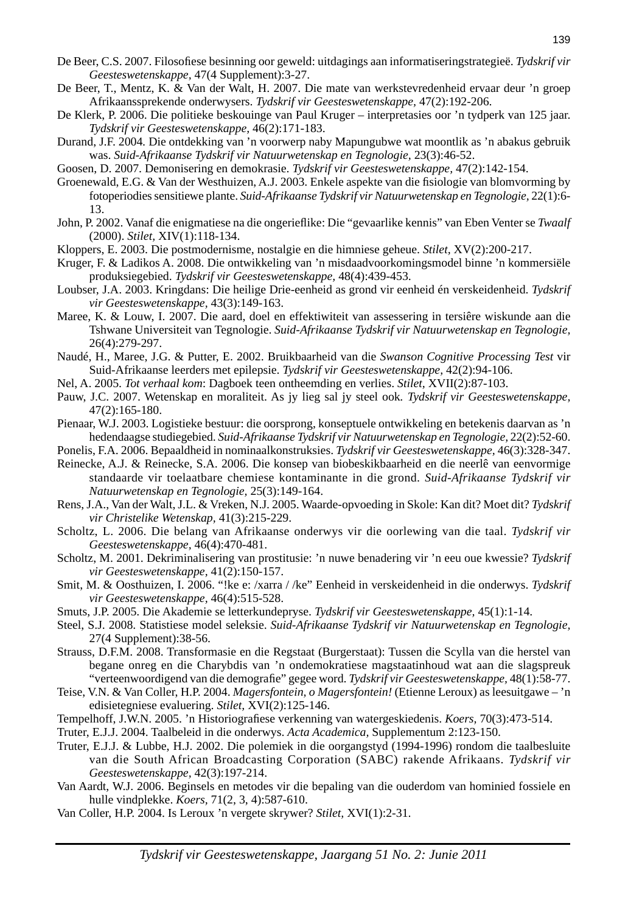- De Beer, C.S. 2007. Filosofiese besinning oor geweld: uitdagings aan informatiseringstrategieë. Tydskrif vir *Geesteswetenskappe,* 47(4 Supplement):3-27.
- De Beer, T., Mentz, K. & Van der Walt, H. 2007. Die mate van werkstevredenheid ervaar deur 'n groep Afrikaanssprekende onderwysers. *Tydskrif vir Geesteswetenskappe,* 47(2):192-206.
- De Klerk, P. 2006. Die politieke beskouinge van Paul Kruger interpretasies oor 'n tydperk van 125 jaar. *Tydskrif vir Geesteswetenskappe,* 46(2):171-183.
- Durand, J.F. 2004*.* Die ontdekking van 'n voorwerp naby Mapungubwe wat moontlik as 'n abakus gebruik was. *Suid-Afrikaanse Tydskrif vir Natuurwetenskap en Tegnologie,* 23(3):46-52.
- Goosen, D. 2007. Demonisering en demokrasie. *Tydskrif vir Geesteswetenskappe,* 47(2):142-154.
- Groenewald, E.G. & Van der Westhuizen, A.J. 2003. Enkele aspekte van die fi siologie van blomvorming by fotoperiodies sensitiewe plante. *Suid-Afrikaanse Tydskrif vir Natuurwetenskap en Tegnologie,* 22(1):6- 13.
- John, P. 2002. Vanaf die enigmatiese na die ongeriefl ike: Die "gevaarlike kennis" van Eben Venter se *Twaalf*  (2000). *Stilet,* XIV(1):118-134.
- Kloppers, E. 2003. Die postmodernisme, nostalgie en die himniese geheue. *Stilet,* XV(2):200-217.
- Kruger, F. & Ladikos A. 2008. Die ontwikkeling van 'n misdaadvoorkomingsmodel binne 'n kommersiële produksiegebied. *Tydskrif vir Geesteswetenskappe,* 48(4):439-453.
- Loubser, J.A. 2003. Kringdans: Die heilige Drie-eenheid as grond vir eenheid én verskeidenheid. *Tydskrif vir Geesteswetenskappe,* 43(3):149-163.
- Maree, K. & Louw, I. 2007. Die aard, doel en effektiwiteit van assessering in tersiêre wiskunde aan die Tshwane Universiteit van Tegnologie. *Suid-Afrikaanse Tydskrif vir Natuurwetenskap en Tegnologie,* 26(4):279-297.
- Naudé, H., Maree, J.G. & Putter, E. 2002. Bruikbaarheid van die *Swanson Cognitive Processing Test* vir Suid-Afrikaanse leerders met epilepsie. *Tydskrif vir Geesteswetenskappe,* 42(2):94-106.
- Nel, A. 2005. *Tot verhaal kom*: Dagboek teen ontheemding en verlies. *Stilet,* XVII(2):87-103.
- Pauw, J.C. 2007. Wetenskap en moraliteit. As jy lieg sal jy steel ook*. Tydskrif vir Geesteswetenskappe,*  47(2):165-180.
- Pienaar, W.J. 2003. Logistieke bestuur: die oorsprong, konseptuele ontwikkeling en betekenis daarvan as 'n hedendaagse studiegebied. *Suid-Afrikaanse Tydskrif vir Natuurwetenskap en Tegnologie,* 22(2):52-60.

Ponelis, F.A. 2006. Bepaaldheid in nominaalkonstruksies. *Tydskrif vir Geesteswetenskappe,* 46(3):328-347.

- Reinecke, A.J. & Reinecke, S.A. 2006. Die konsep van biobeskikbaarheid en die neerlê van eenvormige standaarde vir toelaatbare chemiese kontaminante in die grond. *Suid-Afrikaanse Tydskrif vir Natuurwetenskap en Tegnologie,* 25(3):149-164.
- Rens, J.A., Van der Walt, J.L. & Vreken, N.J. 2005. Waarde-opvoeding in Skole: Kan dit? Moet dit? *Tydskrif vir Christelike Wetenskap,* 41(3):215-229.
- Scholtz, L. 2006. Die belang van Afrikaanse onderwys vir die oorlewing van die taal. *Tydskrif vir Geesteswetenskappe,* 46(4):470-481.
- Scholtz, M. 2001. Dekriminalisering van prostitusie: 'n nuwe benadering vir 'n eeu oue kwessie? *Tydskrif vir Geesteswetenskappe,* 41(2):150-157.
- Smit, M. & Oosthuizen, I. 2006. "!ke e: /xarra / /ke" Eenheid in verskeidenheid in die onderwys. *Tydskrif vir Geesteswetenskappe,* 46(4):515-528.
- Smuts, J.P. 2005. Die Akademie se letterkundepryse. *Tydskrif vir Geesteswetenskappe,* 45(1):1-14.
- Steel, S.J. 2008. Statistiese model seleksie. *Suid-Afrikaanse Tydskrif vir Natuurwetenskap en Tegnologie,*  27(4 Supplement):38-56.
- Strauss, D.F.M. 2008. Transformasie en die Regstaat (Burgerstaat): Tussen die Scylla van die herstel van begane onreg en die Charybdis van 'n ondemokratiese magstaatinhoud wat aan die slagspreuk "verteenwoordigend van die demografie" gegee word. *Tydskrif vir Geesteswetenskappe*, 48(1):58-77.
- Teise, V.N. & Van Coller, H.P. 2004. *Magersfontein, o Magersfontein!* (Etienne Leroux) as leesuitgawe 'n edisietegniese evaluering. *Stilet,* XVI(2):125-146.
- Tempelhoff, J.W.N. 2005. 'n Historiografiese verkenning van watergeskiedenis. *Koers*, 70(3):473-514.
- Truter, E.J.J. 2004. Taalbeleid in die onderwys. *Acta Academica,* Supplementum 2:123-150.
- Truter, E.J.J. & Lubbe, H.J. 2002. Die polemiek in die oorgangstyd (1994-1996) rondom die taalbesluite van die South African Broadcasting Corporation (SABC) rakende Afrikaans. *Tydskrif vir Geesteswetenskappe,* 42(3):197-214.
- Van Aardt, W.J. 2006. Beginsels en metodes vir die bepaling van die ouderdom van hominied fossiele en hulle vindplekke. *Koers,* 71(2, 3, 4):587-610.
- Van Coller, H.P. 2004. Is Leroux 'n vergete skrywer? *Stilet,* XVI(1):2-31.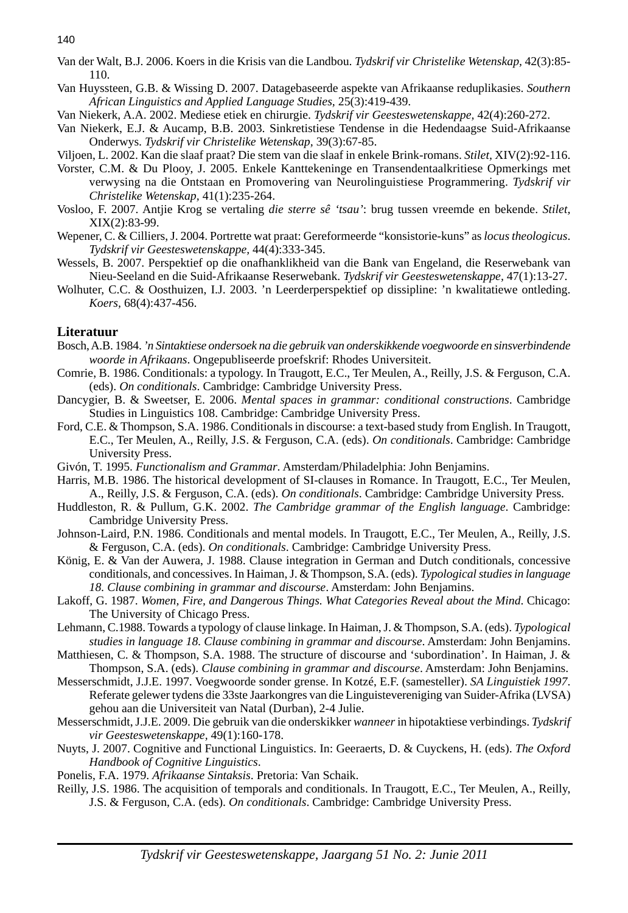- Van der Walt, B.J. 2006. Koers in die Krisis van die Landbou. *Tydskrif vir Christelike Wetenskap,* 42(3):85- 110.
- Van Huyssteen, G.B. & Wissing D. 2007. Datagebaseerde aspekte van Afrikaanse reduplikasies. *Southern African Linguistics and Applied Language Studies,* 25(3):419-439.

Van Niekerk, A.A. 2002. Mediese etiek en chirurgie. *Tydskrif vir Geesteswetenskappe,* 42(4):260-272.

- Van Niekerk, E.J. & Aucamp, B.B. 2003. Sinkretistiese Tendense in die Hedendaagse Suid-Afrikaanse Onderwys. *Tydskrif vir Christelike Wetenskap,* 39(3):67-85.
- Viljoen, L. 2002. Kan die slaaf praat? Die stem van die slaaf in enkele Brink-romans. *Stilet,* XIV(2):92-116.
- Vorster, C.M. & Du Plooy, J. 2005. Enkele Kanttekeninge en Transendentaalkritiese Opmerkings met verwysing na die Ontstaan en Promovering van Neurolinguistiese Programmering. *Tydskrif vir Christelike Wetenskap,* 41(1):235-264.
- Vosloo, F. 2007. Antjie Krog se vertaling *die sterre sê 'tsau'*: brug tussen vreemde en bekende. *Stilet,* XIX(2):83-99.
- Wepener, C. & Cilliers, J. 2004. Portrette wat praat: Gereformeerde "konsistorie-kuns" as *locus theologicus*. *Tydskrif vir Geesteswetenskappe,* 44(4):333-345.
- Wessels, B. 2007. Perspektief op die onafhanklikheid van die Bank van Engeland, die Reserwebank van Nieu-Seeland en die Suid-Afrikaanse Reserwebank. *Tydskrif vir Geesteswetenskappe,* 47(1):13-27.
- Wolhuter, C.C. & Oosthuizen, I.J. 2003. 'n Leerderperspektief op dissipline: 'n kwalitatiewe ontleding. *Koers,* 68(4):437-456.

#### **Literatuur**

- Bosch, A.B. 1984. *'n Sintaktiese ondersoek na die gebruik van onderskikkende voegwoorde en sinsverbindende woorde in Afrikaans*. Ongepubliseerde proefskrif: Rhodes Universiteit.
- Comrie, B. 1986. Conditionals: a typology. In Traugott, E.C., Ter Meulen, A., Reilly, J.S. & Ferguson, C.A. (eds). *On conditionals*. Cambridge: Cambridge University Press.
- Dancygier, B. & Sweetser, E. 2006. *Mental spaces in grammar: conditional constructions*. Cambridge Studies in Linguistics 108. Cambridge: Cambridge University Press.
- Ford, C.E. & Thompson, S.A. 1986. Conditionals in discourse: a text-based study from English. In Traugott, E.C., Ter Meulen, A., Reilly, J.S. & Ferguson, C.A. (eds). *On conditionals*. Cambridge: Cambridge University Press.
- Givón, T. 1995. *Functionalism and Grammar*. Amsterdam/Philadelphia: John Benjamins.
- Harris, M.B. 1986. The historical development of SI-clauses in Romance. In Traugott, E.C., Ter Meulen, A., Reilly, J.S. & Ferguson, C.A. (eds). *On conditionals*. Cambridge: Cambridge University Press.
- Huddleston, R. & Pullum, G.K. 2002. *The Cambridge grammar of the English language*. Cambridge: Cambridge University Press.
- Johnson-Laird, P.N. 1986. Conditionals and mental models. In Traugott, E.C., Ter Meulen, A., Reilly, J.S. & Ferguson, C.A. (eds). *On conditionals*. Cambridge: Cambridge University Press.
- König, E. & Van der Auwera, J. 1988. Clause integration in German and Dutch conditionals, concessive conditionals, and concessives. In Haiman, J. & Thompson, S.A. (eds). *Typological studies in language 18. Clause combining in grammar and discourse*. Amsterdam: John Benjamins.
- Lakoff, G. 1987. *Women, Fire, and Dangerous Things. What Categories Reveal about the Mind*. Chicago: The University of Chicago Press.
- Lehmann, C.1988. Towards a typology of clause linkage. In Haiman, J. & Thompson, S.A. (eds). *Typological studies in language 18. Clause combining in grammar and discourse*. Amsterdam: John Benjamins.
- Matthiesen, C. & Thompson, S.A. 1988. The structure of discourse and 'subordination'. In Haiman, J. & Thompson, S.A. (eds). *Clause combining in grammar and discourse*. Amsterdam: John Benjamins.
- Messerschmidt, J.J.E. 1997. Voegwoorde sonder grense. In Kotzé, E.F. (samesteller). *SA Linguistiek 1997*. Referate gelewer tydens die 33ste Jaarkongres van die Linguistevereniging van Suider-Afrika (LVSA) gehou aan die Universiteit van Natal (Durban), 2-4 Julie.
- Messerschmidt, J.J.E. 2009. Die gebruik van die onderskikker *wanneer* in hipotaktiese verbindings. *Tydskrif vir Geesteswetenskappe,* 49(1):160-178.
- Nuyts, J. 2007. Cognitive and Functional Linguistics. In: Geeraerts, D. & Cuyckens, H. (eds). *The Oxford Handbook of Cognitive Linguistics*.
- Ponelis, F.A. 1979. *Afrikaanse Sintaksis*. Pretoria: Van Schaik.
- Reilly, J.S. 1986. The acquisition of temporals and conditionals. In Traugott, E.C., Ter Meulen, A., Reilly, J.S. & Ferguson, C.A. (eds). *On conditionals*. Cambridge: Cambridge University Press.